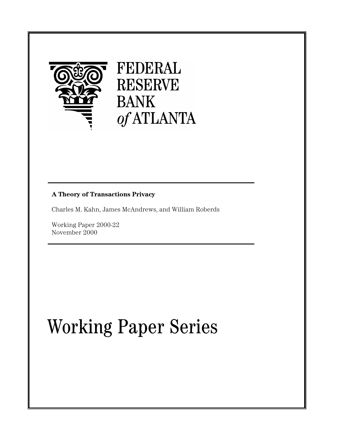

# **A Theory of Transactions Privacy**

Charles M. Kahn, James McAndrews, and William Roberds

Working Paper 2000-22 November 2000

# Working Paper Series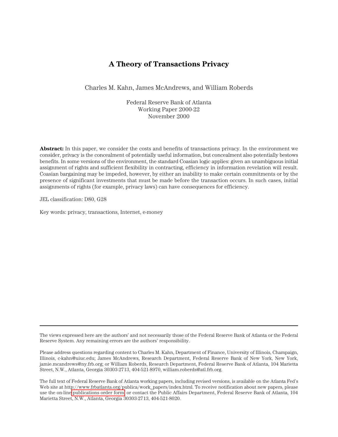# **A Theory of Transactions Privacy**

Charles M. Kahn, James McAndrews, and William Roberds

Federal Reserve Bank of Atlanta Working Paper 2000-22 November 2000

**Abstract:** In this paper, we consider the costs and benefits of transactions privacy. In the environment we consider, privacy is the concealment of potentially useful information, but concealment also potentially bestows benefits. In some versions of the environment, the standard Coasian logic applies: given an unambiguous initial assignment of rights and sufficient flexibility in contracting, efficiency in information revelation will result. Coasian bargaining may be impeded, however, by either an inability to make certain commitments or by the presence of significant investments that must be made before the transaction occurs. In such cases, initial assignments of rights (for example, privacy laws) can have consequences for efficiency.

JEL classification: D80, G28

Key words: privacy, transactions, Internet, e-money

The views expressed here are the authors' and not necessarily those of the Federal Reserve Bank of Atlanta or the Federal Reserve System. Any remaining errors are the authors' responsibility.

Please address questions regarding content to Charles M. Kahn, Department of Finance, University of Illinois, Champaign, Illinois, c-kahn@uiuc.edu; James McAndrews, Research Department, Federal Reserve Bank of New York, New York, jamie.mcandrews@ny.frb.org; or William Roberds, Research Department, Federal Reserve Bank of Atlanta, 104 Marietta Street, N.W., Atlanta, Georgia 30303-2713, 404-521-8970, william.roberds@atl.frb.org.

The full text of Federal Reserve Bank of Atlanta working papers, including revised versions, is available on the Atlanta Fed's Web site at http://www.frbatlanta.org/publica/work\_papers/index.html. To receive notification about new papers, please use the on-line [publications order form,](http://www.frbatlanta.org/publica/ordform.cfm) or contact the Public Affairs Department, Federal Reserve Bank of Atlanta, 104 Marietta Street, N.W., Atlanta, Georgia 30303-2713, 404-521-8020.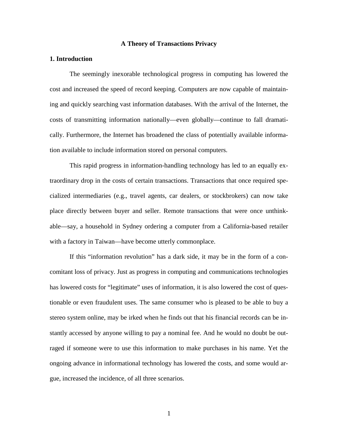# **A Theory of Transactions Privacy**

## **1. Introduction**

The seemingly inexorable technological progress in computing has lowered the cost and increased the speed of record keeping. Computers are now capable of maintaining and quickly searching vast information databases. With the arrival of the Internet, the costs of transmitting information nationally—even globally—continue to fall dramatically. Furthermore, the Internet has broadened the class of potentially available information available to include information stored on personal computers.

This rapid progress in information-handling technology has led to an equally extraordinary drop in the costs of certain transactions. Transactions that once required specialized intermediaries (e.g., travel agents, car dealers, or stockbrokers) can now take place directly between buyer and seller. Remote transactions that were once unthinkable—say, a household in Sydney ordering a computer from a California-based retailer with a factory in Taiwan—have become utterly commonplace.

If this "information revolution" has a dark side, it may be in the form of a concomitant loss of privacy. Just as progress in computing and communications technologies has lowered costs for "legitimate" uses of information, it is also lowered the cost of questionable or even fraudulent uses. The same consumer who is pleased to be able to buy a stereo system online, may be irked when he finds out that his financial records can be instantly accessed by anyone willing to pay a nominal fee. And he would no doubt be outraged if someone were to use this information to make purchases in his name. Yet the ongoing advance in informational technology has lowered the costs, and some would argue, increased the incidence, of all three scenarios.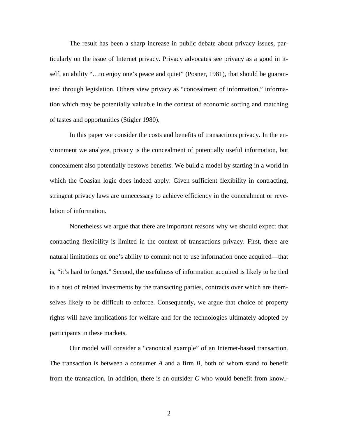The result has been a sharp increase in public debate about privacy issues, particularly on the issue of Internet privacy. Privacy advocates see privacy as a good in itself, an ability "…to enjoy one's peace and quiet" (Posner, 1981), that should be guaranteed through legislation. Others view privacy as "concealment of information," information which may be potentially valuable in the context of economic sorting and matching of tastes and opportunities (Stigler 1980).

In this paper we consider the costs and benefits of transactions privacy. In the environment we analyze, privacy is the concealment of potentially useful information, but concealment also potentially bestows benefits. We build a model by starting in a world in which the Coasian logic does indeed apply: Given sufficient flexibility in contracting, stringent privacy laws are unnecessary to achieve efficiency in the concealment or revelation of information.

Nonetheless we argue that there are important reasons why we should expect that contracting flexibility is limited in the context of transactions privacy. First, there are natural limitations on one's ability to commit not to use information once acquired—that is, "it's hard to forget." Second, the usefulness of information acquired is likely to be tied to a host of related investments by the transacting parties, contracts over which are themselves likely to be difficult to enforce. Consequently, we argue that choice of property rights will have implications for welfare and for the technologies ultimately adopted by participants in these markets.

Our model will consider a "canonical example" of an Internet-based transaction. The transaction is between a consumer *A* and a firm *B*, both of whom stand to benefit from the transaction. In addition, there is an outsider *C* who would benefit from knowl-

2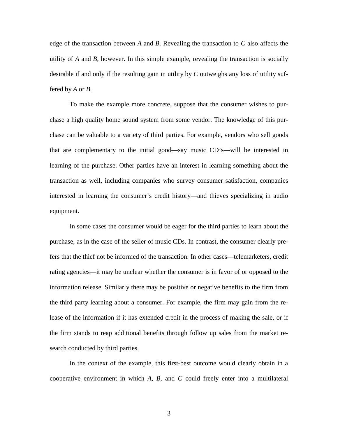edge of the transaction between *A* and *B*. Revealing the transaction to *C* also affects the utility of *A* and *B*, however. In this simple example, revealing the transaction is socially desirable if and only if the resulting gain in utility by *C* outweighs any loss of utility suffered by *A* or *B*.

To make the example more concrete, suppose that the consumer wishes to purchase a high quality home sound system from some vendor. The knowledge of this purchase can be valuable to a variety of third parties. For example, vendors who sell goods that are complementary to the initial good—say music CD's—will be interested in learning of the purchase. Other parties have an interest in learning something about the transaction as well, including companies who survey consumer satisfaction, companies interested in learning the consumer's credit history—and thieves specializing in audio equipment.

In some cases the consumer would be eager for the third parties to learn about the purchase, as in the case of the seller of music CDs. In contrast, the consumer clearly prefers that the thief not be informed of the transaction. In other cases—telemarketers, credit rating agencies—it may be unclear whether the consumer is in favor of or opposed to the information release. Similarly there may be positive or negative benefits to the firm from the third party learning about a consumer. For example, the firm may gain from the release of the information if it has extended credit in the process of making the sale, or if the firm stands to reap additional benefits through follow up sales from the market research conducted by third parties.

In the context of the example, this first-best outcome would clearly obtain in a cooperative environment in which *A*, *B*, and *C* could freely enter into a multilateral

3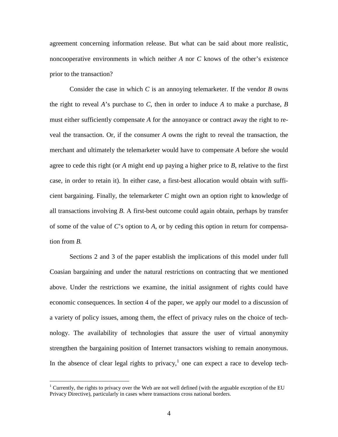agreement concerning information release. But what can be said about more realistic, noncooperative environments in which neither *A* nor *C* knows of the other's existence prior to the transaction?

Consider the case in which *C* is an annoying telemarketer. If the vendor *B* owns the right to reveal *A*'s purchase to *C*, then in order to induce *A* to make a purchase, *B* must either sufficiently compensate *A* for the annoyance or contract away the right to reveal the transaction. Or, if the consumer *A* owns the right to reveal the transaction, the merchant and ultimately the telemarketer would have to compensate *A* before she would agree to cede this right (or *A* might end up paying a higher price to *B*, relative to the first case, in order to retain it). In either case, a first-best allocation would obtain with sufficient bargaining. Finally, the telemarketer *C* might own an option right to knowledge of all transactions involving *B*. A first-best outcome could again obtain, perhaps by transfer of some of the value of *C*'s option to *A*, or by ceding this option in return for compensation from *B.*

Sections 2 and 3 of the paper establish the implications of this model under full Coasian bargaining and under the natural restrictions on contracting that we mentioned above. Under the restrictions we examine, the initial assignment of rights could have economic consequences. In section 4 of the paper, we apply our model to a discussion of a variety of policy issues, among them, the effect of privacy rules on the choice of technology. The availability of technologies that assure the user of virtual anonymity strengthen the bargaining position of Internet transactors wishing to remain anonymous. In the absence of clear legal rights to privacy,<sup>1</sup> one can expect a race to develop tech-

 $\overline{a}$ 

<sup>&</sup>lt;sup>1</sup> Currently, the rights to privacy over the Web are not well defined (with the arguable exception of the EU Privacy Directive), particularly in cases where transactions cross national borders.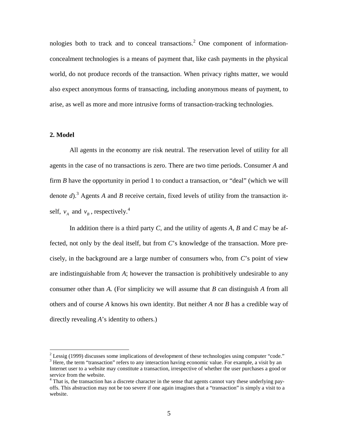nologies both to track and to conceal transactions.<sup>2</sup> One component of informationconcealment technologies is a means of payment that, like cash payments in the physical world, do not produce records of the transaction. When privacy rights matter, we would also expect anonymous forms of transacting, including anonymous means of payment, to arise, as well as more and more intrusive forms of transaction-tracking technologies.

# **2. Model**

 $\overline{a}$ 

All agents in the economy are risk neutral. The reservation level of utility for all agents in the case of no transactions is zero. There are two time periods. Consumer *A* and firm *B* have the opportunity in period 1 to conduct a transaction, or "deal" (which we will denote *d*).<sup>3</sup> Agents *A* and *B* receive certain, fixed levels of utility from the transaction itself,  $v_A$  and  $v_B$ , respectively.<sup>4</sup>

In addition there is a third party *C*, and the utility of agents *A, B* and *C* may be affected, not only by the deal itself, but from *C*'s knowledge of the transaction. More precisely, in the background are a large number of consumers who, from *C*'s point of view are indistinguishable from *A*; however the transaction is prohibitively undesirable to any consumer other than *A.* (For simplicity we will assume that *B* can distinguish *A* from all others and of course *A* knows his own identity. But neither *A* nor *B* has a credible way of directly revealing *A*'s identity to others.)

<sup>&</sup>lt;sup>2</sup> Lessig (1999) discusses some implications of development of these technologies using computer "code."  $\frac{3}{3}$  Here, the term "transaction" refers to any interaction beying acconomic value. For example, a visit by an  $3$  Here, the term "transaction" refers to any interaction having economic value. For example, a visit by an Internet user to a website may constitute a transaction, irrespective of whether the user purchases a good or service from the website.

<sup>&</sup>lt;sup>4</sup> That is, the transaction has a discrete character in the sense that agents cannot vary these underlying payoffs. This abstraction may not be too severe if one again imagines that a "transaction" is simply a visit to a website.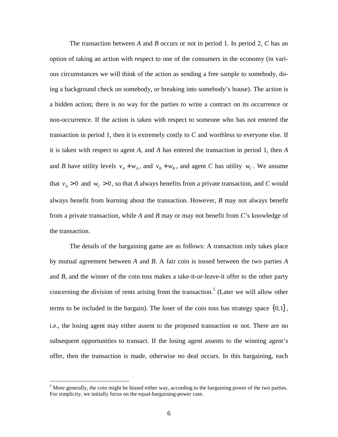The transaction between *A* and *B* occurs or not in period 1. In period 2, *C* has an option of taking an action with respect to one of the consumers in the economy (in various circumstances we will think of the action as sending a free sample to somebody, doing a background check on somebody, or breaking into somebody's house). The action is a hidden action; there is no way for the parties to write a contract on its occurrence or non-occurrence. If the action is taken with respect to someone who has not entered the transaction in period 1, then it is extremely costly to *C* and worthless to everyone else. If it is taken with respect to agent *A*, and *A* has entered the transaction in period 1, then *A* and *B* have utility levels  $v_A + w_A$ , and  $v_B + w_B$ , and agent *C* has utility  $w_C$ . We assume that  $v_A > 0$  and  $w_C > 0$ , so that *A* always benefits from a private transaction, and *C* would always benefit from learning about the transaction. However, *B* may not always benefit from a private transaction, while *A* and *B* may or may not benefit from *C*'s knowledge of the transaction.

The details of the bargaining game are as follows: A transaction only takes place by mutual agreement between *A* and *B*. A fair coin is tossed between the two parties *A* and *B*, and the winner of the coin toss makes a take-it-or-leave-it offer to the other party concerning the division of rents arising from the transaction.<sup>5</sup> (Later we will allow other terms to be included in the bargain). The loser of the coin toss has strategy space  $\{0,1\}$ , i.e., the losing agent may either assent to the proposed transaction or not. There are no subsequent opportunities to transact. If the losing agent assents to the winning agent's offer, then the transaction is made, otherwise no deal occurs. In this bargaining, each

<sup>&</sup>lt;sup>5</sup> More generally, the coin might be biased either way, according to the bargaining power of the two parties. For simplicity, we initially focus on the equal-bargaining-power case.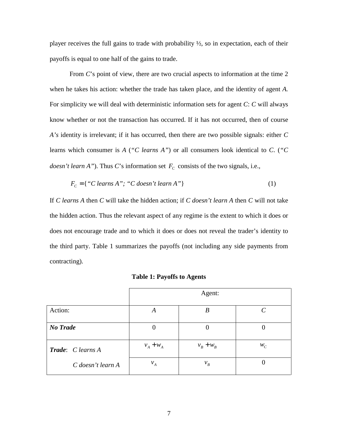player receives the full gains to trade with probability  $\frac{1}{2}$ , so in expectation, each of their payoffs is equal to one half of the gains to trade.

From *C*'s point of view, there are two crucial aspects to information at the time 2 when he takes his action: whether the trade has taken place, and the identity of agent *A.* For simplicity we will deal with deterministic information sets for agent *C*: *C* will always know whether or not the transaction has occurred. If it has not occurred, then of course *A's* identity is irrelevant; if it has occurred, then there are two possible signals: either *C* learns which consumer is *A* (*"C learns A"*) or all consumers look identical to *C*. (*"C doesn't learn A"*). Thus *C*'s information set  $F_c$  consists of the two signals, i.e.,

$$
F_c = {'C learns A"; "C doesn't learn A"\}
$$
\n(1)

If *C learns A* then *C* will take the hidden action; if *C doesn't learn A* then *C* will not take the hidden action. Thus the relevant aspect of any regime is the extent to which it does or does not encourage trade and to which it does or does not reveal the trader's identity to the third party. Table 1 summarizes the payoffs (not including any side payments from contracting).

|                          | Agent:         |             |                             |
|--------------------------|----------------|-------------|-----------------------------|
| Action:                  | A              | B           | $\mathcal{C}_{\mathcal{C}}$ |
| <b>No Trade</b>          | $\overline{0}$ | $\theta$    | 0                           |
| <b>Trade:</b> C learns A | $v_A + w_A$    | $v_B + w_B$ | $W_C$                       |
| C doesn't learn A        | $v_A$          | $v_B$       |                             |

**Table 1: Payoffs to Agents**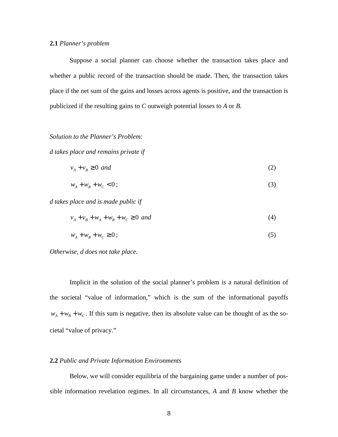### **2.1** *Planner's problem*

Suppose a social planner can choose whether the transaction takes place and whether a public record of the transaction should be made. Then, the transaction takes place if the net sum of the gains and losses across agents is positive, and the transaction is publicized if the resulting gains to *C* outweigh potential losses to *A* or *B.*

# *Solution to the Planner's Problem:*

*d takes place and remains private if*

$$
v_A + v_B \ge 0 \text{ and } \tag{2}
$$

$$
w_A + w_B + w_C < 0 \tag{3}
$$

*d takes place and is made public if*

$$
v_A + v_B + w_A + w_C \ge 0 \text{ and} \tag{4}
$$

$$
w_A + w_B + w_C \ge 0 \tag{5}
$$

*Otherwise, d does not take place.*

Implicit in the solution of the social planner's problem is a natural definition of the societal "value of information," which is the sum of the informational payoffs  $w_A + w_B + w_C$ . If this sum is negative, then its absolute value can be thought of as the societal "value of privacy."

# **2.2** *Public and Private Information Environments*

Below, we will consider equilibria of the bargaining game under a number of possible information revelation regimes. In all circumstances, *A* and *B* know whether the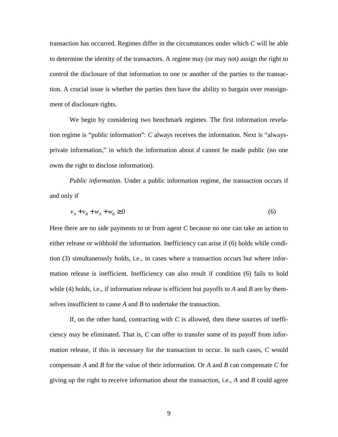transaction has occurred. Regimes differ in the circumstances under which *C* will be able to determine the identity of the transactors. A regime may (or may not) assign the right to control the disclosure of that information to one or another of the parties to the transaction. A crucial issue is whether the parties then have the ability to bargain over reassignment of disclosure rights.

We begin by considering two benchmark regimes. The first information revelation regime is "public information": *C* always receives the information. Next is "alwaysprivate information," in which the information about *d* cannot be made public (no one owns the right to disclose information).

*Public information*. Under a public information regime, the transaction occurs if and only if

$$
v_A + v_B + w_A + w_B \ge 0\tag{6}
$$

Here there are no side payments to or from agent *C* because no one can take an action to either release or withhold the information. Inefficiency can arise if (6) holds while condition (3) simultaneously holds, i.e., in cases where a transaction occurs but where information release is inefficient. Inefficiency can also result if condition (6) fails to hold while (4) holds, i.e., if information release is efficient but payoffs to *A* and *B* are by themselves insufficient to cause *A* and *B* to undertake the transaction.

If, on the other hand, contracting with *C* is allowed, then these sources of inefficiency may be eliminated. That is, *C* can offer to transfer some of its payoff from information release, if this is necessary for the transaction to occur. In such cases, *C* would compensate *A* and *B* for the value of their information. Or *A* and *B* can compensate *C* for giving up the right to receive information about the transaction, i.e., *A* and *B* could agree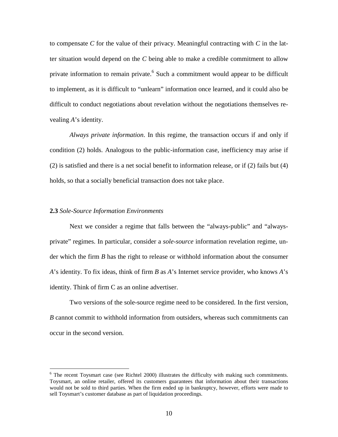to compensate *C* for the value of their privacy. Meaningful contracting with *C* in the latter situation would depend on the *C* being able to make a credible commitment to allow private information to remain private.<sup>6</sup> Such a commitment would appear to be difficult to implement, as it is difficult to "unlearn" information once learned, and it could also be difficult to conduct negotiations about revelation without the negotiations themselves revealing *A*'s identity.

*Always private information*. In this regime, the transaction occurs if and only if condition (2) holds. Analogous to the public-information case, inefficiency may arise if (2) is satisfied and there is a net social benefit to information release, or if (2) fails but (4) holds, so that a socially beneficial transaction does not take place.

#### **2.3** *Sole-Source Information Environments*

 $\overline{a}$ 

Next we consider a regime that falls between the "always-public" and "alwaysprivate" regimes. In particular, consider a *sole-source* information revelation regime, under which the firm *B* has the right to release or withhold information about the consumer *A*'s identity. To fix ideas, think of firm *B* as *A*'s Internet service provider, who knows *A*'s identity. Think of firm C as an online advertiser.

Two versions of the sole-source regime need to be considered. In the first version, *B* cannot commit to withhold information from outsiders, whereas such commitments can occur in the second version.

 $6$  The recent Toysmart case (see Richtel 2000) illustrates the difficulty with making such commitments. Toysmart, an online retailer, offered its customers guarantees that information about their transactions would not be sold to third parties. When the firm ended up in bankruptcy, however, efforts were made to sell Toysmart's customer database as part of liquidation proceedings.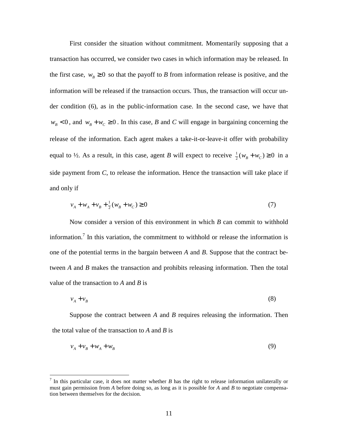First consider the situation without commitment. Momentarily supposing that a transaction has occurred, we consider two cases in which information may be released. In the first case,  $w_B \ge 0$  so that the payoff to *B* from information release is positive, and the information will be released if the transaction occurs. Thus, the transaction will occur under condition (6), as in the public-information case. In the second case, we have that  $w_B$  < 0, and  $w_B$  +  $w_C$  ≥ 0. In this case, *B* and *C* will engage in bargaining concerning the release of the information. Each agent makes a take-it-or-leave-it offer with probability equal to  $\frac{1}{2}$ . As a result, in this case, agent *B* will expect to receive  $\frac{1}{2}(w_B + w_C) \ge 0$  in a side payment from *C*, to release the information. Hence the transaction will take place if and only if

$$
v_A + w_A + v_B + \frac{1}{2}(w_B + w_C) \ge 0
$$
\n<sup>(7)</sup>

Now consider a version of this environment in which *B* can commit to withhold information.<sup>7</sup> In this variation, the commitment to withhold or release the information is one of the potential terms in the bargain between *A* and *B*. Suppose that the contract between *A* and *B* makes the transaction and prohibits releasing information. Then the total value of the transaction to *A* and *B* is

$$
v_A + v_B \tag{8}
$$

Suppose the contract between *A* and *B* requires releasing the information. Then the total value of the transaction to *A* and *B* is

$$
v_A + v_B + w_A + w_B \tag{9}
$$

 $\overline{a}$ 

<sup>7</sup> In this particular case, it does not matter whether *B* has the right to release information unilaterally or must gain permission from *A* before doing so, as long as it is possible for *A* and *B* to negotiate compensation between themselves for the decision.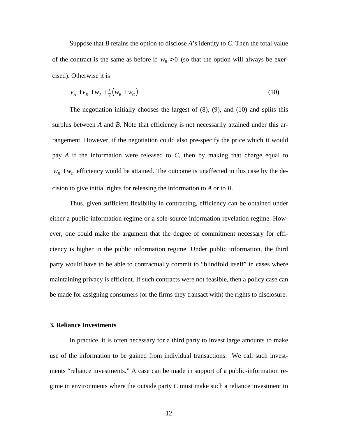Suppose that *B* retains the option to disclose *A*'s identity to *C*. Then the total value of the contract is the same as before if  $w_B > 0$  (so that the option will always be exercised). Otherwise it is

$$
v_A + v_B + w_A + \frac{1}{2}(w_B + w_C)
$$
 (10)

The negotiation initially chooses the largest of (8), (9), and (10) and splits this surplus between *A* and *B*. Note that efficiency is not necessarily attained under this arrangement. However, if the negotiation could also pre-specify the price which *B* would pay *A* if the information were released to *C*, then by making that charge equal to  $w_B + w_C$  efficiency would be attained. The outcome is unaffected in this case by the decision to give initial rights for releasing the information to *A* or to *B*.

Thus, given sufficient flexibility in contracting, efficiency can be obtained under either a public-information regime or a sole-source information revelation regime. However, one could make the argument that the degree of commitment necessary for efficiency is higher in the public information regime. Under public information, the third party would have to be able to contractually commit to "blindfold itself" in cases where maintaining privacy is efficient. If such contracts were not feasible, then a policy case can be made for assigning consumers (or the firms they transact with) the rights to disclosure.

## **3. Reliance Investments**

In practice, it is often necessary for a third party to invest large amounts to make use of the information to be gained from individual transactions. We call such investments "reliance investments." A case can be made in support of a public-information regime in environments where the outside party *C* must make such a reliance investment to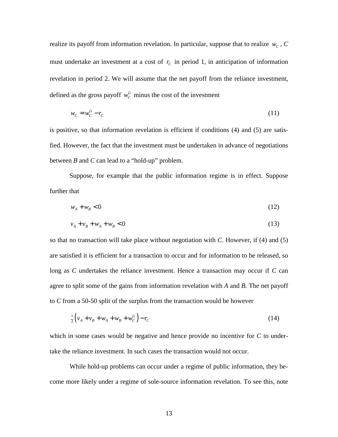realize its payoff from information revelation. In particular, suppose that to realize  $w_c$ ,  $C$ must undertake an investment at a cost of  $r_c$  in period 1, in anticipation of information revelation in period 2. We will assume that the net payoff from the reliance investment, defined as the gross payoff  $w_c^G$  minus the cost of the investment

$$
w_c = w_c^G - r_c \tag{11}
$$

is positive, so that information revelation is efficient if conditions (4) and (5) are satisfied. However, the fact that the investment must be undertaken in advance of negotiations between *B* and *C* can lead to a "hold-up" problem.

Suppose, for example that the public information regime is in effect. Suppose further that

$$
w_A + w_B < 0 \tag{12}
$$

$$
v_A + v_B + w_A + w_B < 0 \tag{13}
$$

so that no transaction will take place without negotiation with *C*. However, if (4) and (5) are satisfied it is efficient for a transaction to occur and for information to be released, so long as *C* undertakes the reliance investment. Hence a transaction may occur if *C* can agree to split some of the gains from information revelation with *A* and *B.* The net payoff to *C* from a 50-50 split of the surplus from the transaction would be however

$$
\frac{1}{2}\left(v_A + v_B + w_A + w_B + w_C^G\right) - r_C\tag{14}
$$

which in some cases would be negative and hence provide no incentive for *C* to undertake the reliance investment. In such cases the transaction would not occur.

While hold-up problems can occur under a regime of public information, they become more likely under a regime of sole-source information revelation. To see this, note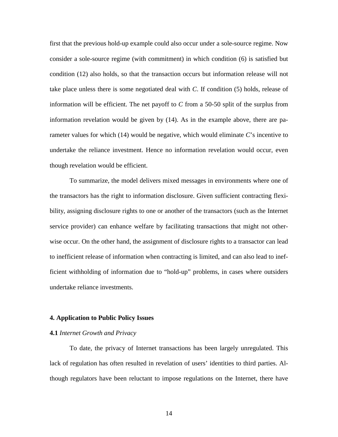first that the previous hold-up example could also occur under a sole-source regime. Now consider a sole-source regime (with commitment) in which condition (6) is satisfied but condition (12) also holds, so that the transaction occurs but information release will not take place unless there is some negotiated deal with *C*. If condition (5) holds, release of information will be efficient. The net payoff to *C* from a 50-50 split of the surplus from information revelation would be given by (14). As in the example above, there are parameter values for which (14) would be negative, which would eliminate *C*'s incentive to undertake the reliance investment. Hence no information revelation would occur, even though revelation would be efficient.

To summarize, the model delivers mixed messages in environments where one of the transactors has the right to information disclosure. Given sufficient contracting flexibility, assigning disclosure rights to one or another of the transactors (such as the Internet service provider) can enhance welfare by facilitating transactions that might not otherwise occur. On the other hand, the assignment of disclosure rights to a transactor can lead to inefficient release of information when contracting is limited, and can also lead to inefficient withholding of information due to "hold-up" problems, in cases where outsiders undertake reliance investments.

#### **4. Application to Public Policy Issues**

## **4.1** *Internet Growth and Privacy*

To date, the privacy of Internet transactions has been largely unregulated. This lack of regulation has often resulted in revelation of users' identities to third parties. Although regulators have been reluctant to impose regulations on the Internet, there have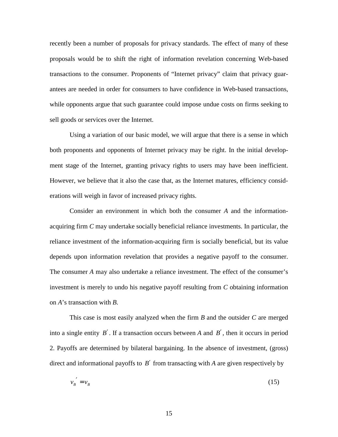recently been a number of proposals for privacy standards. The effect of many of these proposals would be to shift the right of information revelation concerning Web-based transactions to the consumer. Proponents of "Internet privacy" claim that privacy guarantees are needed in order for consumers to have confidence in Web-based transactions, while opponents argue that such guarantee could impose undue costs on firms seeking to sell goods or services over the Internet.

Using a variation of our basic model, we will argue that there is a sense in which both proponents and opponents of Internet privacy may be right. In the initial development stage of the Internet, granting privacy rights to users may have been inefficient. However, we believe that it also the case that, as the Internet matures, efficiency considerations will weigh in favor of increased privacy rights.

Consider an environment in which both the consumer *A* and the informationacquiring firm *C* may undertake socially beneficial reliance investments. In particular, the reliance investment of the information-acquiring firm is socially beneficial, but its value depends upon information revelation that provides a negative payoff to the consumer. The consumer *A* may also undertake a reliance investment. The effect of the consumer's investment is merely to undo his negative payoff resulting from *C* obtaining information on *A*'s transaction with *B*.

This case is most easily analyzed when the firm *B* and the outsider *C* are merged into a single entity *B*′. If a transaction occurs between *A* and *B*′, then it occurs in period 2. Payoffs are determined by bilateral bargaining. In the absence of investment, (gross) direct and informational payoffs to *B*′ from transacting with *A* are given respectively by

$$
v_B' = v_B \tag{15}
$$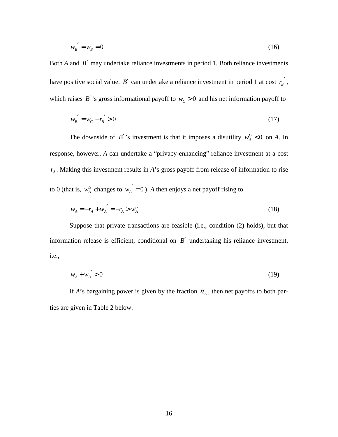$$
w'_B = w_B = 0 \tag{16}
$$

Both *A* and *B*′ may undertake reliance investments in period 1. Both reliance investments have positive social value. *B'* can undertake a reliance investment in period 1 at cost  $r_{B}^{'}$ , which raises  $B'$ 's gross informational payoff to  $w_c > 0$  and his net information payoff to

$$
w'_{B} = w_{C} - r'_{B} > 0
$$
\n(17)

The downside of *B'*'s investment is that it imposes a disutility  $w_A^G < 0$  on *A*. In response, however, *A* can undertake a "privacy-enhancing" reliance investment at a cost  $r_A$ . Making this investment results in *A*'s gross payoff from release of information to rise to 0 (that is,  $w_A^G$  changes to  $w_A' = 0$ ). A then enjoys a net payoff rising to

$$
w_A = -r_A + w_A' = -r_A > w_A^G
$$
 (18)

Suppose that private transactions are feasible (i.e., condition (2) holds), but that information release is efficient, conditional on *B*′ undertaking his reliance investment, i.e.,

$$
w_A + w_B' > 0 \tag{19}
$$

If *A*'s bargaining power is given by the fraction  $\pi_A$ , then net payoffs to both parties are given in Table 2 below.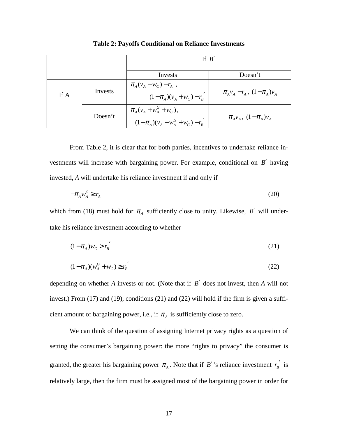|      |         | If R                                                                    |                                                                                                                      |  |
|------|---------|-------------------------------------------------------------------------|----------------------------------------------------------------------------------------------------------------------|--|
|      |         | Invests                                                                 | Doesn't                                                                                                              |  |
| If A | Invests | $\pi_{A}(v_{A}+w_{C})-r_{A}$ ,<br>$(1 - \pi_A)(v_A + w_C) - r_B$        | $\pi_A v_A - r_A$ , $(1 - \pi_A) v_A$                                                                                |  |
|      | Doesn't | $\pi_A (v_A + w_A^G + w_C),$<br>$(1 - \pi_A)(v_A + w_A^G + w_C) - r_B'$ | $\pi_{\scriptscriptstyle{A}} v_{\scriptscriptstyle{A}}$ , $(1-\pi_{\scriptscriptstyle{A}})v_{\scriptscriptstyle{A}}$ |  |

**Table 2: Payoffs Conditional on Reliance Investments**

From Table 2, it is clear that for both parties, incentives to undertake reliance investments will increase with bargaining power. For example, conditional on *B*′ having invested, *A* will undertake his reliance investment if and only if

$$
-\pi_A w_A^G \ge r_A \tag{20}
$$

which from (18) must hold for  $\pi_A$  sufficiently close to unity. Likewise, *B'* will undertake his reliance investment according to whether

$$
(1 - \pi_A)w_c > r'_B \tag{21}
$$

$$
(1 - \pi_A)(w_A^G + w_C) \ge r_B' \tag{22}
$$

depending on whether *A* invests or not. (Note that if *B*′ does not invest, then *A* will not invest.) From (17) and (19), conditions (21) and (22) will hold if the firm is given a sufficient amount of bargaining power, i.e., if  $\pi_A$  is sufficiently close to zero.

We can think of the question of assigning Internet privacy rights as a question of setting the consumer's bargaining power: the more "rights to privacy" the consumer is granted, the greater his bargaining power  $\pi_A$ . Note that if *B'*'s reliance investment  $r_B$ <sup>'</sup> is relatively large, then the firm must be assigned most of the bargaining power in order for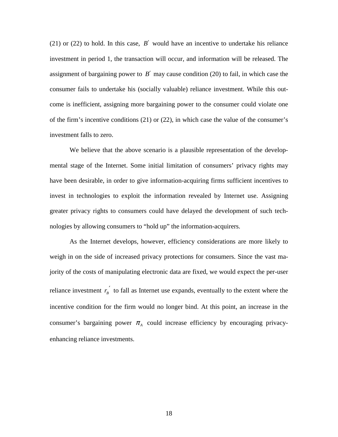(21) or (22) to hold. In this case,  $B'$  would have an incentive to undertake his reliance investment in period 1, the transaction will occur, and information will be released. The assignment of bargaining power to  $B'$  may cause condition (20) to fail, in which case the consumer fails to undertake his (socially valuable) reliance investment. While this outcome is inefficient, assigning more bargaining power to the consumer could violate one of the firm's incentive conditions (21) or (22), in which case the value of the consumer's investment falls to zero.

We believe that the above scenario is a plausible representation of the developmental stage of the Internet. Some initial limitation of consumers' privacy rights may have been desirable, in order to give information-acquiring firms sufficient incentives to invest in technologies to exploit the information revealed by Internet use. Assigning greater privacy rights to consumers could have delayed the development of such technologies by allowing consumers to "hold up" the information-acquirers.

As the Internet develops, however, efficiency considerations are more likely to weigh in on the side of increased privacy protections for consumers. Since the vast majority of the costs of manipulating electronic data are fixed, we would expect the per-user reliance investment  $r_{B}^{'}$  to fall as Internet use expands, eventually to the extent where the incentive condition for the firm would no longer bind. At this point, an increase in the consumer's bargaining power  $\pi_A$  could increase efficiency by encouraging privacyenhancing reliance investments.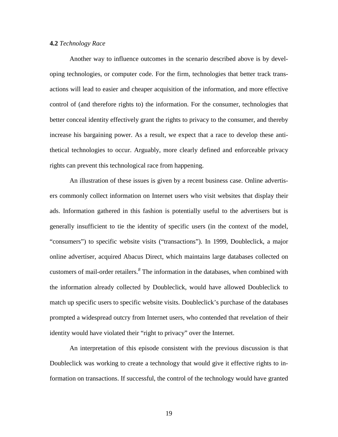# **4.2** *Technology Race*

Another way to influence outcomes in the scenario described above is by developing technologies, or computer code. For the firm, technologies that better track transactions will lead to easier and cheaper acquisition of the information, and more effective control of (and therefore rights to) the information. For the consumer, technologies that better conceal identity effectively grant the rights to privacy to the consumer, and thereby increase his bargaining power. As a result, we expect that a race to develop these antithetical technologies to occur. Arguably, more clearly defined and enforceable privacy rights can prevent this technological race from happening.

An illustration of these issues is given by a recent business case. Online advertisers commonly collect information on Internet users who visit websites that display their ads. Information gathered in this fashion is potentially useful to the advertisers but is generally insufficient to tie the identity of specific users (in the context of the model, "consumers") to specific website visits ("transactions"). In 1999, Doubleclick, a major online advertiser, acquired Abacus Direct, which maintains large databases collected on customers of mail-order retailers.*<sup>8</sup>* The information in the databases, when combined with the information already collected by Doubleclick, would have allowed Doubleclick to match up specific users to specific website visits. Doubleclick's purchase of the databases prompted a widespread outcry from Internet users, who contended that revelation of their identity would have violated their "right to privacy" over the Internet.

An interpretation of this episode consistent with the previous discussion is that Doubleclick was working to create a technology that would give it effective rights to information on transactions. If successful, the control of the technology would have granted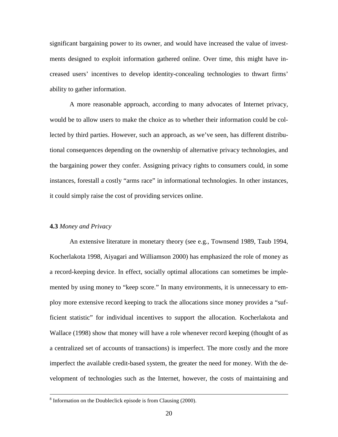significant bargaining power to its owner, and would have increased the value of investments designed to exploit information gathered online. Over time, this might have increased users' incentives to develop identity-concealing technologies to thwart firms' ability to gather information.

A more reasonable approach, according to many advocates of Internet privacy, would be to allow users to make the choice as to whether their information could be collected by third parties. However, such an approach, as we've seen, has different distributional consequences depending on the ownership of alternative privacy technologies, and the bargaining power they confer. Assigning privacy rights to consumers could, in some instances, forestall a costly "arms race" in informational technologies. In other instances, it could simply raise the cost of providing services online.

# **4.3** *Money and Privacy*

An extensive literature in monetary theory (see e.g., Townsend 1989, Taub 1994, Kocherlakota 1998, Aiyagari and Williamson 2000) has emphasized the role of money as a record-keeping device. In effect, socially optimal allocations can sometimes be implemented by using money to "keep score." In many environments, it is unnecessary to employ more extensive record keeping to track the allocations since money provides a "sufficient statistic" for individual incentives to support the allocation. Kocherlakota and Wallace (1998) show that money will have a role whenever record keeping (thought of as a centralized set of accounts of transactions) is imperfect. The more costly and the more imperfect the available credit-based system, the greater the need for money. With the development of technologies such as the Internet, however, the costs of maintaining and

 <sup>8</sup>  $8$  Information on the Doubleclick episode is from Clausing (2000).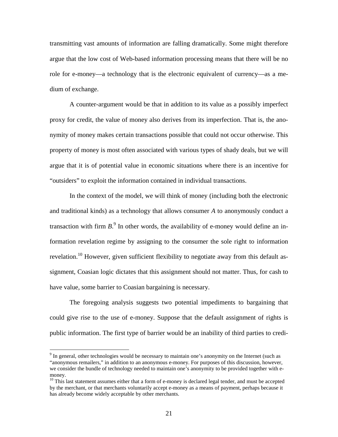transmitting vast amounts of information are falling dramatically. Some might therefore argue that the low cost of Web-based information processing means that there will be no role for e-money—a technology that is the electronic equivalent of currency—as a medium of exchange.

A counter-argument would be that in addition to its value as a possibly imperfect proxy for credit, the value of money also derives from its imperfection. That is, the anonymity of money makes certain transactions possible that could not occur otherwise. This property of money is most often associated with various types of shady deals, but we will argue that it is of potential value in economic situations where there is an incentive for "outsiders" to exploit the information contained in individual transactions.

In the context of the model, we will think of money (including both the electronic and traditional kinds) as a technology that allows consumer *A* to anonymously conduct a transaction with firm  $B$ <sup>9</sup>. In other words, the availability of e-money would define an information revelation regime by assigning to the consumer the sole right to information revelation.<sup>10</sup> However, given sufficient flexibility to negotiate away from this default assignment, Coasian logic dictates that this assignment should not matter. Thus, for cash to have value, some barrier to Coasian bargaining is necessary.

The foregoing analysis suggests two potential impediments to bargaining that could give rise to the use of e-money. Suppose that the default assignment of rights is public information. The first type of barrier would be an inability of third parties to credi-

 $\overline{a}$ 

<sup>&</sup>lt;sup>9</sup> In general, other technologies would be necessary to maintain one's anonymity on the Internet (such as "anonymous remailers," in addition to an anonymous e-money. For purposes of this discussion, however, we consider the bundle of technology needed to maintain one's anonymity to be provided together with emoney.

 $10$  This last statement assumes either that a form of e-money is declared legal tender, and must be accepted by the merchant, or that merchants voluntarily accept e-money as a means of payment, perhaps because it has already become widely acceptable by other merchants.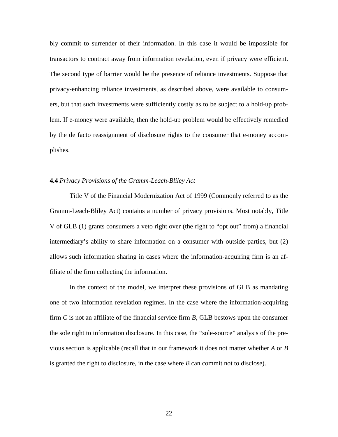bly commit to surrender of their information. In this case it would be impossible for transactors to contract away from information revelation, even if privacy were efficient. The second type of barrier would be the presence of reliance investments. Suppose that privacy-enhancing reliance investments, as described above, were available to consumers, but that such investments were sufficiently costly as to be subject to a hold-up problem. If e-money were available, then the hold-up problem would be effectively remedied by the de facto reassignment of disclosure rights to the consumer that e-money accomplishes.

# **4.4** *Privacy Provisions of the Gramm-Leach-Bliley Act*

Title V of the Financial Modernization Act of 1999 (Commonly referred to as the Gramm-Leach-Bliley Act) contains a number of privacy provisions. Most notably, Title V of GLB (1) grants consumers a veto right over (the right to "opt out" from) a financial intermediary's ability to share information on a consumer with outside parties, but (2) allows such information sharing in cases where the information-acquiring firm is an affiliate of the firm collecting the information.

In the context of the model, we interpret these provisions of GLB as mandating one of two information revelation regimes. In the case where the information-acquiring firm *C* is not an affiliate of the financial service firm *B*, GLB bestows upon the consumer the sole right to information disclosure. In this case, the "sole-source" analysis of the previous section is applicable (recall that in our framework it does not matter whether *A* or *B* is granted the right to disclosure, in the case where *B* can commit not to disclose).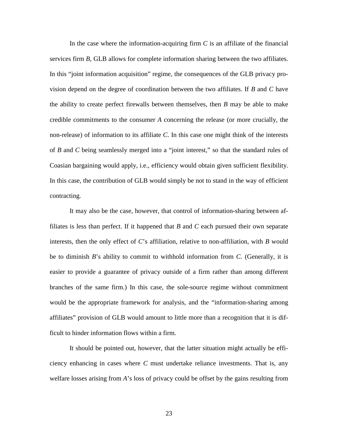In the case where the information-acquiring firm *C* is an affiliate of the financial services firm *B*, GLB allows for complete information sharing between the two affiliates. In this "joint information acquisition" regime, the consequences of the GLB privacy provision depend on the degree of coordination between the two affiliates. If *B* and *C* have the ability to create perfect firewalls between themselves, then *B* may be able to make credible commitments to the consumer *A* concerning the release (or more crucially, the non-release) of information to its affiliate *C*. In this case one might think of the interests of *B* and *C* being seamlessly merged into a "joint interest," so that the standard rules of Coasian bargaining would apply, i.e., efficiency would obtain given sufficient flexibility. In this case, the contribution of GLB would simply be not to stand in the way of efficient contracting.

It may also be the case, however, that control of information-sharing between affiliates is less than perfect. If it happened that *B* and *C* each pursued their own separate interests, then the only effect of *C*'s affiliation, relative to non-affiliation, with *B* would be to diminish *B*'s ability to commit to withhold information from *C.* (Generally, it is easier to provide a guarantee of privacy outside of a firm rather than among different branches of the same firm.) In this case, the sole-source regime without commitment would be the appropriate framework for analysis, and the "information-sharing among affiliates" provision of GLB would amount to little more than a recognition that it is difficult to hinder information flows within a firm.

It should be pointed out, however, that the latter situation might actually be efficiency enhancing in cases where *C* must undertake reliance investments. That is, any welfare losses arising from *A*'s loss of privacy could be offset by the gains resulting from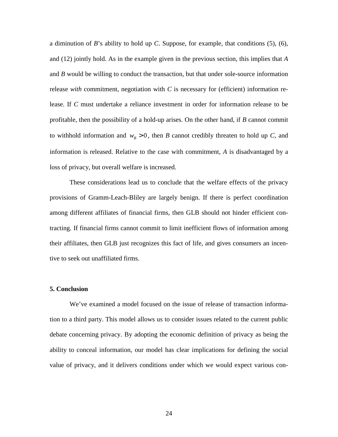a diminution of *B*'s ability to hold up *C*. Suppose, for example, that conditions (5), (6), and (12) jointly hold. As in the example given in the previous section, this implies that *A* and *B* would be willing to conduct the transaction, but that under sole-source information release *with* commitment, negotiation with  $C$  is necessary for (efficient) information release. If *C* must undertake a reliance investment in order for information release to be profitable, then the possibility of a hold-up arises. On the other hand, if *B* cannot commit to withhold information and  $w_B > 0$ , then *B* cannot credibly threaten to hold up *C*, and information is released. Relative to the case with commitment, *A* is disadvantaged by a loss of privacy, but overall welfare is increased.

These considerations lead us to conclude that the welfare effects of the privacy provisions of Gramm-Leach-Bliley are largely benign. If there is perfect coordination among different affiliates of financial firms, then GLB should not hinder efficient contracting. If financial firms cannot commit to limit inefficient flows of information among their affiliates, then GLB just recognizes this fact of life, and gives consumers an incentive to seek out unaffiliated firms.

# **5. Conclusion**

We've examined a model focused on the issue of release of transaction information to a third party. This model allows us to consider issues related to the current public debate concerning privacy. By adopting the economic definition of privacy as being the ability to conceal information, our model has clear implications for defining the social value of privacy, and it delivers conditions under which we would expect various con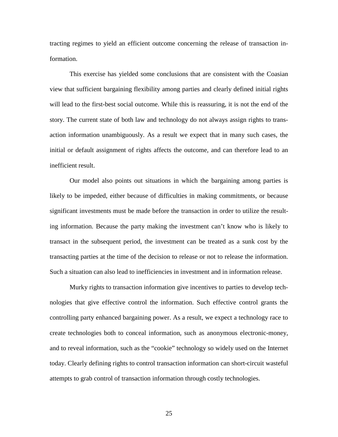tracting regimes to yield an efficient outcome concerning the release of transaction information.

This exercise has yielded some conclusions that are consistent with the Coasian view that sufficient bargaining flexibility among parties and clearly defined initial rights will lead to the first-best social outcome. While this is reassuring, it is not the end of the story. The current state of both law and technology do not always assign rights to transaction information unambiguously. As a result we expect that in many such cases, the initial or default assignment of rights affects the outcome, and can therefore lead to an inefficient result.

Our model also points out situations in which the bargaining among parties is likely to be impeded, either because of difficulties in making commitments, or because significant investments must be made before the transaction in order to utilize the resulting information. Because the party making the investment can't know who is likely to transact in the subsequent period, the investment can be treated as a sunk cost by the transacting parties at the time of the decision to release or not to release the information. Such a situation can also lead to inefficiencies in investment and in information release.

Murky rights to transaction information give incentives to parties to develop technologies that give effective control the information. Such effective control grants the controlling party enhanced bargaining power. As a result, we expect a technology race to create technologies both to conceal information, such as anonymous electronic-money, and to reveal information, such as the "cookie" technology so widely used on the Internet today. Clearly defining rights to control transaction information can short-circuit wasteful attempts to grab control of transaction information through costly technologies.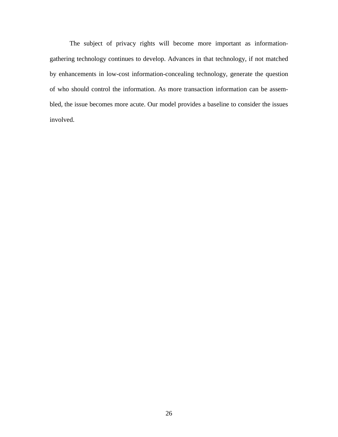The subject of privacy rights will become more important as informationgathering technology continues to develop. Advances in that technology, if not matched by enhancements in low-cost information-concealing technology, generate the question of who should control the information. As more transaction information can be assembled, the issue becomes more acute. Our model provides a baseline to consider the issues involved.